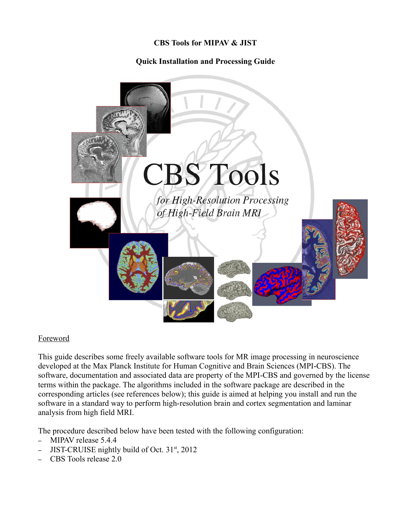#### **CBS Tools for MIPAV & JIST**

# **Quick Installation and Processing Guide**



#### Foreword

This guide describes some freely available software tools for MR image processing in neuroscience developed at the Max Planck Institute for Human Cognitive and Brain Sciences (MPI-CBS). The software, documentation and associated data are property of the MPI-CBS and governed by the license terms within the package. The algorithms included in the software package are described in the corresponding articles (see references below); this guide is aimed at helping you install and run the software in a standard way to perform high-resolution brain and cortex segmentation and laminar analysis from high field MRI.

The procedure described below have been tested with the following configuration:

- MIPAV release 5.4.4
- JIST-CRUISE nightly build of Oct. 31<sup>st</sup>, 2012
- CBS Tools release 2.0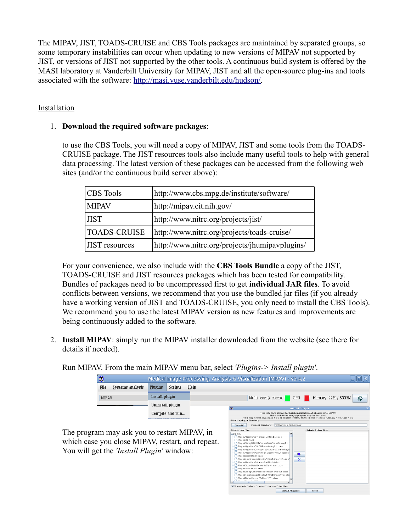The MIPAV, JIST, TOADS-CRUISE and CBS Tools packages are maintained by separated groups, so some temporary instabilities can occur when updating to new versions of MIPAV not supported by JIST, or versions of JIST not supported by the other tools. A continuous build system is offered by the MASI laboratory at Vanderbilt University for MIPAV, JIST and all the open-source plug-ins and tools associated with the software: [http://masi.vuse.vanderbilt.edu/hudson/.](http://masi.vuse.vanderbilt.edu/hudson/)

## Installation

## 1. **Download the required software packages**:

to use the CBS Tools, you will need a copy of MIPAV, JIST and some tools from the TOADS-CRUISE package. The JIST resources tools also include many useful tools to help with general data processing. The latest version of these packages can be accessed from the following web sites (and/or the continuous build server above):

| <b>CBS</b> Tools      | http://www.cbs.mpg.de/institute/software/      |
|-----------------------|------------------------------------------------|
| <b>MIPAV</b>          | http://mipav.cit.nih.gov/                      |
| <b>JIST</b>           | http://www.nitrc.org/projects/jist/            |
| <b>TOADS-CRUISE</b>   | http://www.nitrc.org/projects/toads-cruise/    |
| <b>JIST</b> resources | http://www.nitrc.org/projects/jhumipavplugins/ |

For your convenience, we also include with the **CBS Tools Bundle** a copy of the JIST, TOADS-CRUISE and JIST resources packages which has been tested for compatibility. Bundles of packages need to be uncompressed first to get **individual JAR files**. To avoid conflicts between versions, we recommend that you use the bundled jar files (if you already have a working version of JIST and TOADS-CRUISE, you only need to install the CBS Tools). We recommend you to use the latest MIPAV version as new features and improvements are being continuously added to the software.

2. **Install MIPAV**: simply run the MIPAV installer downloaded from the website (see there for details if needed).

Run MIPAV. From the main MIPAV menu bar, select *'Plugins-> Install plugin'*.

| O<br>Medical Image Processing, Analysis & Visualization (MIPAV) - v5.4.2 |      |                  |                                    |                                           |                                                 |                                                                                                                                                                                                                                     |                       |                          | Θ |  |  |
|--------------------------------------------------------------------------|------|------------------|------------------------------------|-------------------------------------------|-------------------------------------------------|-------------------------------------------------------------------------------------------------------------------------------------------------------------------------------------------------------------------------------------|-----------------------|--------------------------|---|--|--|
|                                                                          | File | Systems analysis | <b>Plugins</b>                     | Scripts                                   | Help                                            |                                                                                                                                                                                                                                     |                       |                          |   |  |  |
| MIPAV                                                                    |      | Install plugin   |                                    |                                           |                                                 | Multi-core(4 cores):                                                                                                                                                                                                                | GPU:                  | û<br>Memory: 22M / 5333M |   |  |  |
|                                                                          |      | Uninstall plugin |                                    |                                           | l OO                                            |                                                                                                                                                                                                                                     | <b>Install Plugin</b> |                          |   |  |  |
|                                                                          |      |                  | Compile and run                    |                                           |                                                 | This interface allows for batch installation of plugins into MIPAV.<br>Either MIPAV or Image] plugins may be installed.<br>You may select lava class files or container files. These include ".class. ".tar.gz. ".zip. ".jar files. |                       |                          |   |  |  |
|                                                                          |      |                  |                                    |                                           |                                                 | -Select a plugin directory<br>Current directory: /SCR/mipav_test/mipav<br><b>Browse</b>                                                                                                                                             |                       |                          |   |  |  |
| The program may ask you to restart MIPAV, in                             |      |                  | Select class files<br>$\Box$ mipay | PluginAlgorithmDTICreateListFile\$1.class |                                                 | Selected class files                                                                                                                                                                                                                |                       |                          |   |  |  |
| which case you close MIPAV, restart, and repeat.                         |      |                  |                                    | PluglnISN.class                           | PlugInDialogFITBIR\$ChooseDataStructDialog\$1.c |                                                                                                                                                                                                                                     |                       |                          |   |  |  |

Close

Install Plugin(s)

You will get the *'Install Plugin'* window: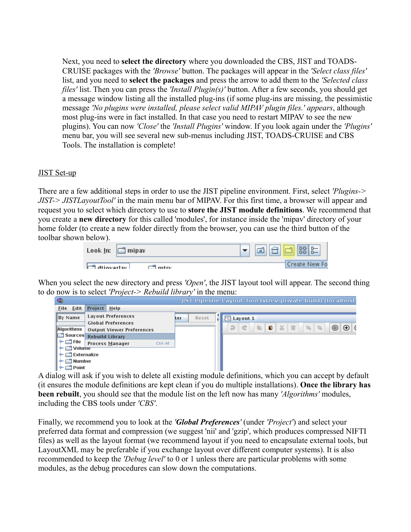Next, you need to **select the directory** where you downloaded the CBS, JIST and TOADS-CRUISE packages with the *'Browse'* button. The packages will appear in the *'Select class files'* list, and you need to **select the packages** and press the arrow to add them to the *'Selected class files'* list. Then you can press the *'Install Plugin(s)'* button. After a few seconds, you should get a message window listing all the installed plug-ins (if some plug-ins are missing, the pessimistic message *'No plugins were installed, please select valid MIPAV plugin files.' appears*, although most plug-ins were in fact installed. In that case you need to restart MIPAV to see the new plugins). You can now *'Close'* the *'Install Plugins'* window. If you look again under the *'Plugins'* menu bar, you will see several new sub-menus including JIST, TOADS-CRUISE and CBS Tools. The installation is complete!

#### JIST Set-up

There are a few additional steps in order to use the JIST pipeline environment. First, select *'Plugins-> JIST-> JISTLayoutTool'* in the main menu bar of MIPAV. For this first time, a browser will appear and request you to select which directory to use to **store the JIST module definitions**. We recommend that you create a **new directory** for this called 'modules', for instance inside the 'mipav' directory of your home folder (to create a new folder directly from the browser, you can use the third button of the toolbar shown below).

| Look $\ln:$ $\Box$ | ] mipav | <b>BB B=</b><br>灬 |
|--------------------|---------|-------------------|
| ⊥uctveverth E⊐L    | r⊐ mtrv | l Create New Fo   |

When you select the new directory and press *'Open'*, the JIST layout tool will appear. The second thing to do now is to select *'Project-> Rebuild library'* in the menu:



A dialog will ask if you wish to delete all existing module definitions, which you can accept by default (it ensures the module definitions are kept clean if you do multiple installations). **Once the library has been rebuilt**, you should see that the module list on the left now has many *'Algorithms'* modules, including the CBS tools under *'CBS'*.

Finally, we recommend you to look at the *'Global Preferences'* (under *'Project'*) and select your preferred data format and compression (we suggest 'nii' and 'gzip', which produces compressed NIFTI files) as well as the layout format (we recommend layout if you need to encapsulate external tools, but LayoutXML may be preferable if you exchange layout over different computer systems). It is also recommended to keep the *'Debug level'* to 0 or 1 unless there are particular problems with some modules, as the debug procedures can slow down the computations.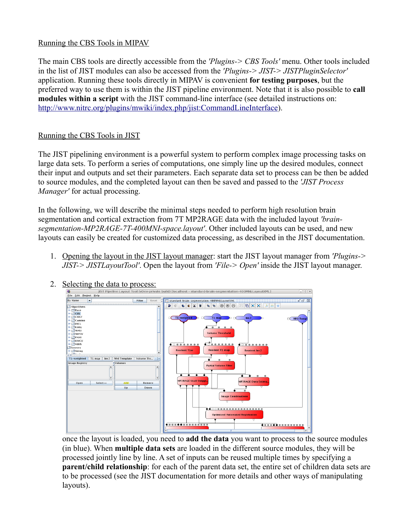## Running the CBS Tools in MIPAV

The main CBS tools are directly accessible from the *'Plugins-> CBS Tools'* menu. Other tools included in the list of JIST modules can also be accessed from the *'Plugins-> JIST-> JISTPluginSelector'* application. Running these tools directly in MIPAV is convenient **for testing purposes**, but the preferred way to use them is within the JIST pipeline environment. Note that it is also possible to **call modules within a script** with the JIST command-line interface (see detailed instructions on: [http://www.nitrc.org/plugins/mwiki/index.php/jist:CommandLineInterface\)](http://www.nitrc.org/plugins/mwiki/index.php/jist:CommandLineInterface).

# Running the CBS Tools in JIST

The JIST pipelining environment is a powerful system to perform complex image processing tasks on large data sets. To perform a series of computations, one simply line up the desired modules, connect their input and outputs and set their parameters. Each separate data set to process can be then be added to source modules, and the completed layout can then be saved and passed to the *'JIST Process Manager'* for actual processing.

In the following, we will describe the minimal steps needed to perform high resolution brain segmentation and cortical extraction from 7T MP2RAGE data with the included layout *'brainsegmentation-MP2RAGE-7T-400MNI-space.layout'*. Other included layouts can be used, and new layouts can easily be created for customized data processing, as described in the JIST documentation.

1. Opening the layout in the JIST layout manager: start the JIST layout manager from *'Plugins-> JIST-> JISTLayoutTool'*. Open the layout from *'File-> Open'* inside the JIST layout manager.



once the layout is loaded, you need to **add the data** you want to process to the source modules (in blue). When **multiple data sets** are loaded in the different source modules, they will be processed jointly line by line. A set of inputs can be reused multiple times by specifying a **parent/child relationship**: for each of the parent data set, the entire set of children data sets are to be processed (see the JIST documentation for more details and other ways of manipulating layouts).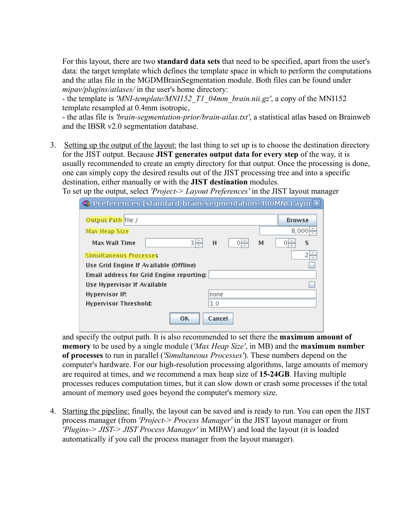For this layout, there are two **standard data sets** that need to be specified, apart from the user's data: the target template which defines the template space in which to perform the computations and the atlas file in the MGDMBrainSegmentation module. Both files can be found under *mipav/plugins/atlases/* in the user's home directory:

- the template is *'MNI-template/MNI152\_T1\_04mm\_brain.nii.gz'*, a copy of the MNI152 template resampled at 0.4mm isotropic,

- the atlas file is *'brain-segmentation-prior/brain-atlas.txt'*, a statistical atlas based on Brainweb and the IBSR v2.0 segmentation database.

3. Setting up the output of the layout: the last thing to set up is to choose the destination directory for the JIST output. Because **JIST generates output data for every step** of the way, it is usually recommended to create an empty directory for that output. Once the processing is done, one can simply copy the desired results out of the JIST processing tree and into a specific destination, either manually or with the **JIST destination** modules.

To set up the output, select *'Project-> Layout Preferences'* in the JIST layout manager

| O Preferences [standard-brain-segmentation-400MNI.Layot X] |        |   |   |               |
|------------------------------------------------------------|--------|---|---|---------------|
| Output Path file:/                                         |        |   |   | <b>Browse</b> |
| Max Heap Size                                              |        |   |   | 8,000         |
| зĘ<br>Max Wall Time                                        | н      | 야 | м | s             |
| <b>Simultaneous Processes</b>                              |        |   |   | 2             |
| Use Grid Engine If Available (Offline)                     |        |   |   |               |
| Email address for Grid Engine reporting:                   |        |   |   |               |
| Use Hypervisor If Available                                |        |   |   |               |
| <b>Hypervisor IP:</b>                                      | Inone  |   |   |               |
| <b>Hypervisor Threshold:</b>                               | 1.0    |   |   |               |
| OК                                                         | Cancel |   |   |               |

and specify the output path. It is also recommended to set there the **maximum amount of memory** to be used by a single module (*'Max Heap Size'*, in MB) and the **maximum number of processes** to run in parallel (*'Simultaneous Processes'*). These numbers depend on the computer's hardware. For our high-resolution processing algorithms, large amounts of memory are required at times, and we recommend a max heap size of **15-24GB**. Having multiple processes reduces computation times, but it can slow down or crash some processes if the total amount of memory used goes beyond the computer's memory size.

4. Starting the pipeline: finally, the layout can be saved and is ready to run. You can open the JIST process manager (from *'Project-> Process Manager'* in the JIST layout manager or from *'Plugins-> JIST-> JIST Process Manager'* in MIPAV) and load the layout (it is loaded automatically if you call the process manager from the layout manager).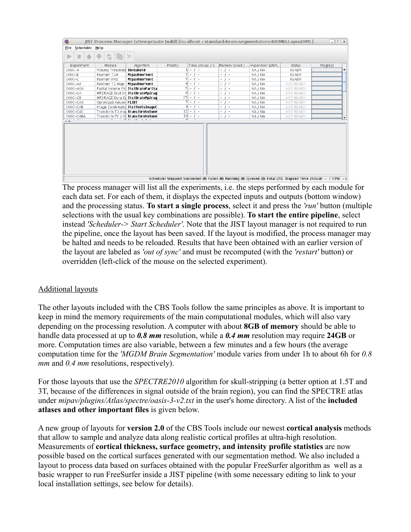| $\bullet$              |                            | [IST Process Manager (vDev-private build) [localhost - standard-brain-segmentation-400MNI.LayoutXML] |                |                          |                          |                          |                          |                                  |                  |          | $\Box$ $\Box$ $\Box$ $\Box$ |
|------------------------|----------------------------|------------------------------------------------------------------------------------------------------|----------------|--------------------------|--------------------------|--------------------------|--------------------------|----------------------------------|------------------|----------|-----------------------------|
| File<br>Scheduler Help |                            |                                                                                                      |                |                          |                          |                          |                          |                                  |                  |          |                             |
|                        | G                          |                                                                                                      |                |                          |                          |                          |                          |                                  |                  |          |                             |
| Experiment             | Module                     | Algorithm                                                                                            | Priority       |                          | Time (Actual / C         |                          |                          | Memory (Used /  Hypervisor Estim | Status           | Progress |                             |
| $0000 - A$             | Volume Threshold Threshold |                                                                                                      |                | $\overline{\phantom{a}}$ | - 1                      | - 1 -                    |                          | NA / NA                          | <b>READY</b>     |          |                             |
| $0000 - B$             | Reorient T1w               | MipavReorient                                                                                        | $\overline{2}$ | $\sim$                   | $I =$                    | $\overline{\phantom{a}}$ | $\overline{\phantom{a}}$ | NA / NA                          | <b>READY</b>     |          |                             |
| $0000 - C$             | Reorient Inv2              | MipavReorient                                                                                        | 3              | $\overline{\phantom{a}}$ | $\overline{\phantom{a}}$ | $\overline{\phantom{0}}$ | $\overline{a}$           | NA / NA                          | <b>READY</b>     |          |                             |
| $0000 - AA$            | Reorient T1 map            | MipavReorient                                                                                        | 4              | $\overline{\phantom{a}}$ | $I =$                    | $\overline{\phantom{0}}$ | $\sim$                   | NA / NA                          | NOT READY        |          |                             |
| 0000-AAA               |                            | Partial Volume Filt JistBrainPartia                                                                  | 5              | $\overline{\phantom{a}}$ | $\overline{\phantom{a}}$ | ۰.                       | ٠                        | NA / NA                          | <b>NOT READY</b> |          |                             |
| $0000 - CA$            |                            | MP2RAGE Skull Str JistBrainMp2rag                                                                    | 61             | $\sim$                   | $\sim$                   | $\overline{\phantom{0}}$ | $\overline{\phantom{0}}$ | NA / NA                          | NOT READY        |          |                             |
| $0000 - CB$            |                            | MP2RAGE Dura Es JistBrainMp2rad                                                                      | 25             | $\overline{\phantom{a}}$ | $\sim$                   | $\overline{\phantom{a}}$ | $\overline{\phantom{a}}$ | NA / NA                          | NOT READY        |          |                             |
| 0000-CAA               | Optimized Automa FLIRT     |                                                                                                      |                | $\sim$                   | $\sim$                   | -                        | $\overline{\phantom{a}}$ | NA / NA                          | <b>NOT READY</b> |          |                             |
| $0000 - CAB$           |                            | Image Combinatio JistToolsImageC                                                                     |                | $9 -$                    | $\overline{\phantom{a}}$ | $\overline{\phantom{0}}$ | $\overline{a}$           | NA / NA                          | NOT READY        |          |                             |
| 0000-CAC               |                            | Transform T1 maj TransformVolume                                                                     |                | $12 -$                   | $\sim$                   | $\overline{\phantom{0}}$ | ٠                        | NA / NA                          | <b>NOT READY</b> |          |                             |
| 0000-CABA              |                            | Transform PV / Di TransformVolume                                                                    |                | $10 -$                   | ٠                        | ۰.                       | ٠                        | NA / NA                          | <b>NOT READY</b> |          |                             |
|                        |                            |                                                                                                      |                |                          |                          |                          |                          |                                  |                  |          |                             |
|                        |                            |                                                                                                      |                |                          |                          |                          |                          |                                  |                  |          |                             |

Scheduler Stopped: Succeeded (0) Failed (0) Running (0) Queued (0) Total (25) Elapsed Time (Actual: - / CPU: -)

The process manager will list all the experiments, i.e. the steps performed by each module for each data set. For each of them, it displays the expected inputs and outputs (bottom window) and the processing status. **To start a single process**, select it and press the *'run'* button (multiple selections with the usual key combinations are possible). **To start the entire pipeline**, select instead *'Scheduler-> Start Scheduler'*. Note that the JIST layout manager is not required to run the pipeline, once the layout has been saved. If the layout is modified, the process manager may be halted and needs to be reloaded. Results that have been obtained with an earlier version of the layout are labeled as *'out of sync'* and must be recomputed (with the *'restart'* button) or overridden (left-click of the mouse on the selected experiment).

#### Additional layouts

The other layouts included with the CBS Tools follow the same principles as above. It is important to keep in mind the memory requirements of the main computational modules, which will also vary depending on the processing resolution. A computer with about **8GB of memory** should be able to handle data processed at up to *0.8 mm* resolution, while a *0.4 mm* resolution may require **24GB** or more. Computation times are also variable, between a few minutes and a few hours (the average computation time for the *'MGDM Brain Segmentation'* module varies from under 1h to about 6h for *0.8 mm* and *0.4 mm* resolutions, respectively).

For those layouts that use the *SPECTRE2010* algorithm for skull-stripping (a better option at 1.5T and 3T, because of the differences in signal outside of the brain region), you can find the SPECTRE atlas under *mipav/plugins/Atlas/spectre/oasis-3-v2.txt* in the user's home directory. A list of the **included atlases and other important files** is given below.

A new group of layouts for **version 2.0** of the CBS Tools include our newest **cortical analysis** methods that allow to sample and analyze data along realistic cortical profiles at ultra-high resolution. Measurements of **cortical thickness, surface geometry, and intensity profile statistics** are now possible based on the cortical surfaces generated with our segmentation method. We also included a layout to process data based on surfaces obtained with the popular FreeSurfer algorithm as well as a basic wrapper to run FreeSurfer inside a JIST pipeline (with some necessary editing to link to your local installation settings, see below for details).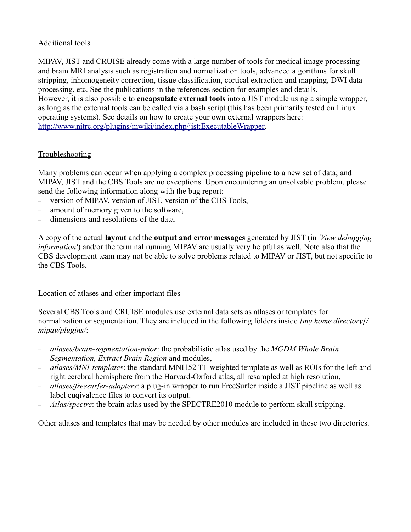## Additional tools

MIPAV, JIST and CRUISE already come with a large number of tools for medical image processing and brain MRI analysis such as registration and normalization tools, advanced algorithms for skull stripping, inhomogeneity correction, tissue classification, cortical extraction and mapping, DWI data processing, etc. See the publications in the references section for examples and details. However, it is also possible to **encapsulate external tools** into a JIST module using a simple wrapper, as long as the external tools can be called via a bash script (this has been primarily tested on Linux operating systems). See details on how to create your own external wrappers here: [http://www.nitrc.org/plugins/mwiki/index.php/jist:ExecutableWrapper.](http://www.nitrc.org/plugins/mwiki/index.php/jist:ExecutableWrapper)

#### Troubleshooting

Many problems can occur when applying a complex processing pipeline to a new set of data; and MIPAV, JIST and the CBS Tools are no exceptions. Upon encountering an unsolvable problem, please send the following information along with the bug report:

- version of MIPAV, version of JIST, version of the CBS Tools,
- amount of memory given to the software,
- dimensions and resolutions of the data.

A copy of the actual **layout** and the **output and error messages** generated by JIST (in *'View debugging information'*) and/or the terminal running MIPAV are usually very helpful as well. Note also that the CBS development team may not be able to solve problems related to MIPAV or JIST, but not specific to the CBS Tools.

#### Location of atlases and other important files

Several CBS Tools and CRUISE modules use external data sets as atlases or templates for normalization or segmentation. They are included in the following folders inside *[my home directory]/ mipav/plugins/*:

- *atlases/brain-segmentation-prior*: the probabilistic atlas used by the *MGDM Whole Brain Segmentation, Extract Brain Region* and modules,
- *atlases/MNI-templates*: the standard MNI152 T1-weighted template as well as ROIs for the left and right cerebral hemisphere from the Harvard-Oxford atlas, all resampled at high resolution,
- *atlases/freesurfer-adapters*: a plug-in wrapper to run FreeSurfer inside a JIST pipeline as well as label euqivalence files to convert its output.
- *Atlas/spectre*: the brain atlas used by the SPECTRE2010 module to perform skull stripping.

Other atlases and templates that may be needed by other modules are included in these two directories.